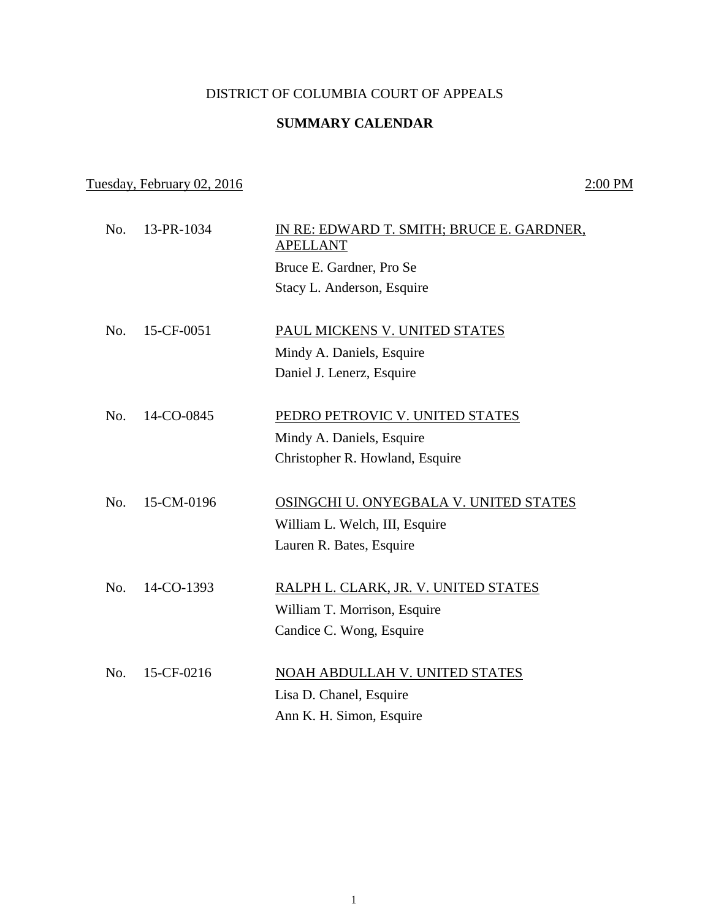## DISTRICT OF COLUMBIA COURT OF APPEALS

## **SUMMARY CALENDAR**

## Tuesday, February 02, 2016 2:00 PM

| No. | 13-PR-1034 | IN RE: EDWARD T. SMITH; BRUCE E. GARDNER,<br><b>APELLANT</b><br>Bruce E. Gardner, Pro Se<br>Stacy L. Anderson, Esquire |
|-----|------------|------------------------------------------------------------------------------------------------------------------------|
| No. | 15-CF-0051 | PAUL MICKENS V. UNITED STATES<br>Mindy A. Daniels, Esquire<br>Daniel J. Lenerz, Esquire                                |
| No. | 14-CO-0845 | PEDRO PETROVIC V. UNITED STATES<br>Mindy A. Daniels, Esquire<br>Christopher R. Howland, Esquire                        |
| No. | 15-CM-0196 | OSINGCHI U. ONYEGBALA V. UNITED STATES<br>William L. Welch, III, Esquire<br>Lauren R. Bates, Esquire                   |
| No. | 14-CO-1393 | RALPH L. CLARK, JR. V. UNITED STATES<br>William T. Morrison, Esquire<br>Candice C. Wong, Esquire                       |
| No. | 15-CF-0216 | <b>NOAH ABDULLAH V. UNITED STATES</b><br>Lisa D. Chanel, Esquire<br>Ann K. H. Simon, Esquire                           |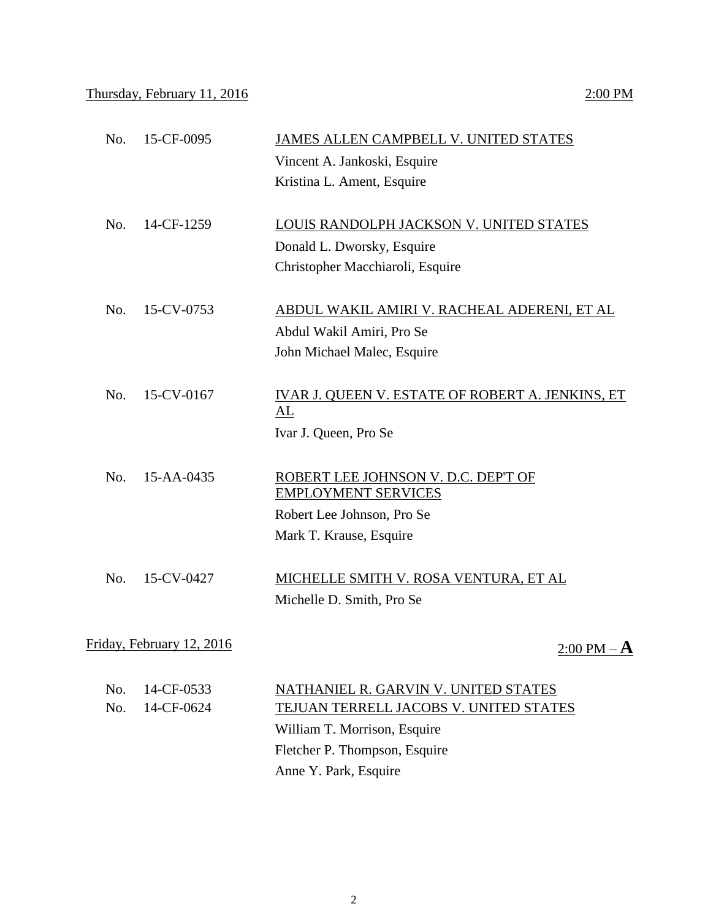| 15-CF-0095<br>No.         | JAMES ALLEN CAMPBELL V. UNITED STATES                             |
|---------------------------|-------------------------------------------------------------------|
|                           | Vincent A. Jankoski, Esquire                                      |
|                           | Kristina L. Ament, Esquire                                        |
| No.<br>14-CF-1259         | LOUIS RANDOLPH JACKSON V. UNITED STATES                           |
|                           | Donald L. Dworsky, Esquire                                        |
|                           | Christopher Macchiaroli, Esquire                                  |
| 15-CV-0753<br>No.         | ABDUL WAKIL AMIRI V. RACHEAL ADERENI, ET AL                       |
|                           | Abdul Wakil Amiri, Pro Se                                         |
|                           | John Michael Malec, Esquire                                       |
| 15-CV-0167<br>No.         | IVAR J. QUEEN V. ESTATE OF ROBERT A. JENKINS, ET<br>AL            |
|                           | Ivar J. Queen, Pro Se                                             |
| No.<br>15-AA-0435         | ROBERT LEE JOHNSON V. D.C. DEP'T OF<br><b>EMPLOYMENT SERVICES</b> |
|                           | Robert Lee Johnson, Pro Se                                        |
|                           | Mark T. Krause, Esquire                                           |
| No.<br>15-CV-0427         | MICHELLE SMITH V. ROSA VENTURA, ET AL                             |
|                           | Michelle D. Smith, Pro Se                                         |
| Friday, February 12, 2016 | $2:00$ PM $\cdot$                                                 |
|                           |                                                                   |

| No. 14-CF-0533 | NATHANIEL R. GARVIN V. UNITED STATES   |
|----------------|----------------------------------------|
| No. 14-CF-0624 | TEJUAN TERRELL JACOBS V. UNITED STATES |
|                | William T. Morrison, Esquire           |
|                | Fletcher P. Thompson, Esquire          |
|                | Anne Y. Park, Esquire                  |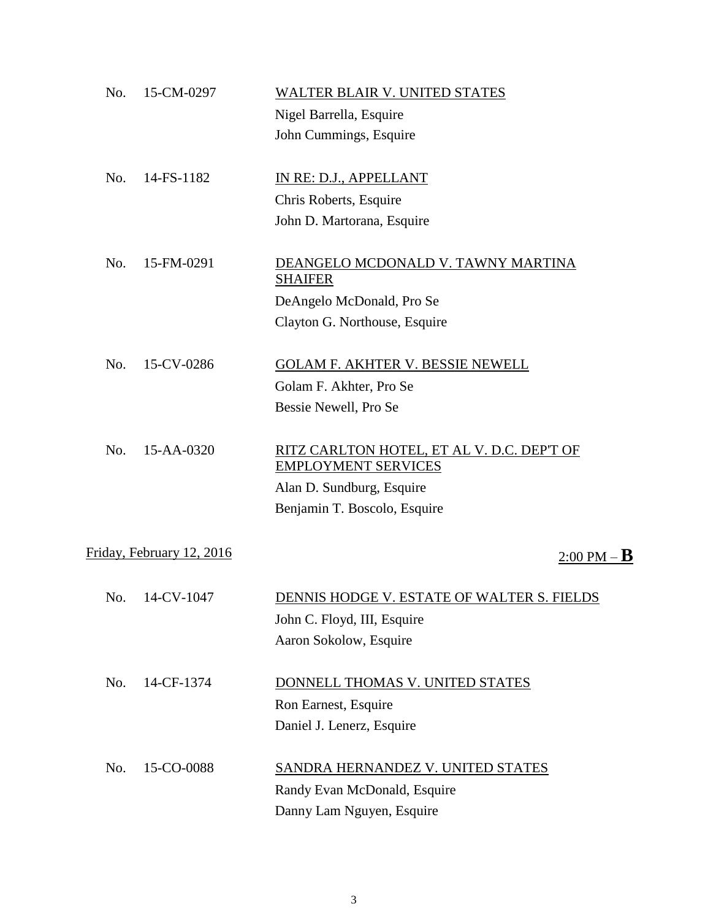| No. | 15-CM-0297                | <b>WALTER BLAIR V. UNITED STATES</b>                                     |
|-----|---------------------------|--------------------------------------------------------------------------|
|     |                           | Nigel Barrella, Esquire                                                  |
|     |                           | John Cummings, Esquire                                                   |
| No. | 14-FS-1182                | IN RE: D.J., APPELLANT                                                   |
|     |                           | Chris Roberts, Esquire                                                   |
|     |                           | John D. Martorana, Esquire                                               |
| No. | 15-FM-0291                | DEANGELO MCDONALD V. TAWNY MARTINA<br><b>SHAIFER</b>                     |
|     |                           | DeAngelo McDonald, Pro Se                                                |
|     |                           | Clayton G. Northouse, Esquire                                            |
| No. | 15-CV-0286                | <b>GOLAM F. AKHTER V. BESSIE NEWELL</b>                                  |
|     |                           | Golam F. Akhter, Pro Se                                                  |
|     |                           | Bessie Newell, Pro Se                                                    |
| No. | 15-AA-0320                | RITZ CARLTON HOTEL, ET AL V. D.C. DEP'T OF<br><b>EMPLOYMENT SERVICES</b> |
|     |                           | Alan D. Sundburg, Esquire                                                |
|     |                           | Benjamin T. Boscolo, Esquire                                             |
|     | Friday, February 12, 2016 | <u>2:00 PM</u> – <b>B</b>                                                |
| No. | 14-CV-1047                | DENNIS HODGE V. ESTATE OF WALTER S. FIELDS                               |
|     |                           | John C. Floyd, III, Esquire                                              |
|     |                           | Aaron Sokolow, Esquire                                                   |
| No. | 14-CF-1374                | DONNELL THOMAS V. UNITED STATES                                          |
|     |                           | Ron Earnest, Esquire                                                     |
|     |                           | Daniel J. Lenerz, Esquire                                                |
| No. | 15-CO-0088                | <b>SANDRA HERNANDEZ V. UNITED STATES</b>                                 |
|     |                           | Randy Evan McDonald, Esquire                                             |
|     |                           | Danny Lam Nguyen, Esquire                                                |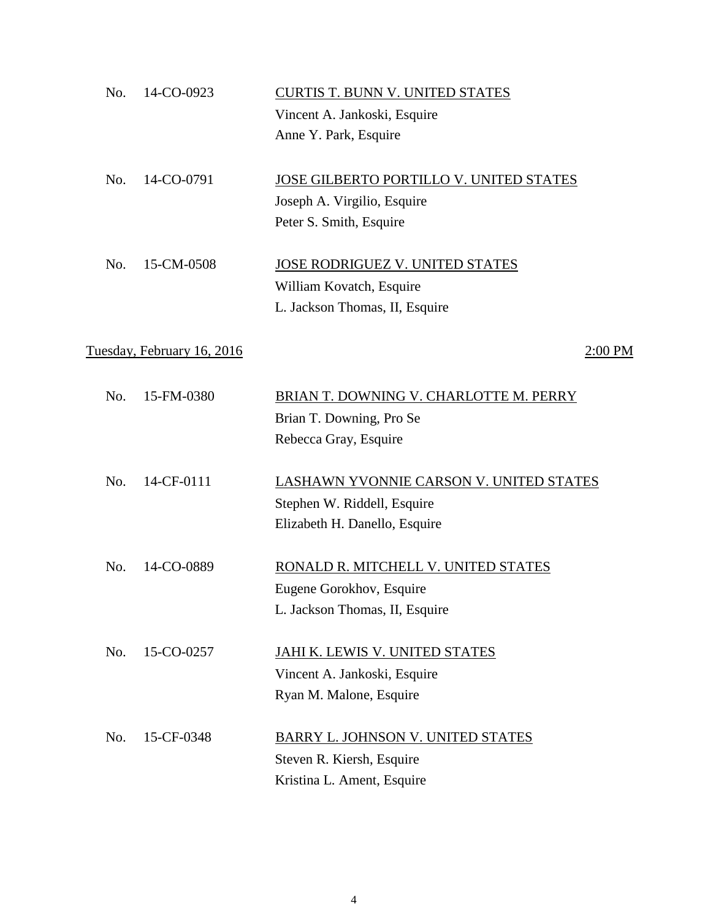| No. | 14-CO-0923                 | <b>CURTIS T. BUNN V. UNITED STATES</b><br>Vincent A. Jankoski, Esquire<br>Anne Y. Park, Esquire         |
|-----|----------------------------|---------------------------------------------------------------------------------------------------------|
| No. | 14-CO-0791                 | JOSE GILBERTO PORTILLO V. UNITED STATES<br>Joseph A. Virgilio, Esquire<br>Peter S. Smith, Esquire       |
| No. | 15-CM-0508                 | JOSE RODRIGUEZ V. UNITED STATES<br>William Kovatch, Esquire<br>L. Jackson Thomas, II, Esquire           |
|     | Tuesday, February 16, 2016 | 2:00 PM                                                                                                 |
| No. | 15-FM-0380                 | BRIAN T. DOWNING V. CHARLOTTE M. PERRY<br>Brian T. Downing, Pro Se<br>Rebecca Gray, Esquire             |
| No. | 14-CF-0111                 | LASHAWN YVONNIE CARSON V. UNITED STATES<br>Stephen W. Riddell, Esquire<br>Elizabeth H. Danello, Esquire |
| No. | 14-CO-0889                 | RONALD R. MITCHELL V. UNITED STATES<br>Eugene Gorokhov, Esquire<br>L. Jackson Thomas, II, Esquire       |
| No. | 15-CO-0257                 | <u>JAHI K. LEWIS V. UNITED STATES</u><br>Vincent A. Jankoski, Esquire<br>Ryan M. Malone, Esquire        |
| No. | 15-CF-0348                 | BARRY L. JOHNSON V. UNITED STATES<br>Steven R. Kiersh, Esquire<br>Kristina L. Ament, Esquire            |

4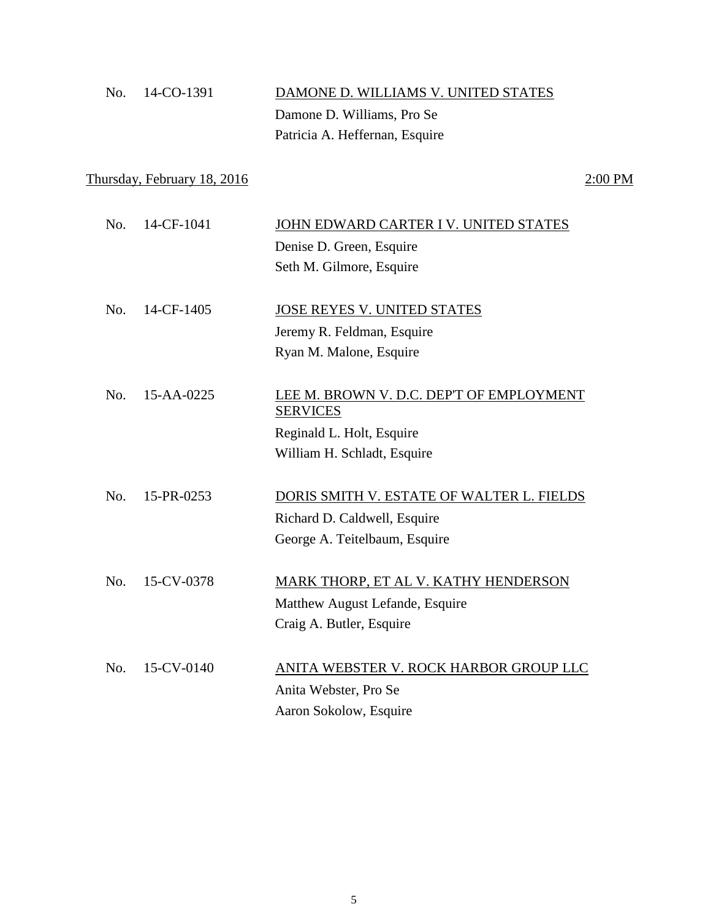| No. 14-CO-1391 | DAMONE D. WILLIAMS V. UNITED STATES |
|----------------|-------------------------------------|
|                | Damone D. Williams, Pro Se          |
|                | Patricia A. Heffernan, Esquire      |

## Thursday, February 18, 2016 2:00 PM

| No. | 14-CF-1041 | JOHN EDWARD CARTER I V. UNITED STATES     |
|-----|------------|-------------------------------------------|
|     |            | Denise D. Green, Esquire                  |
|     |            | Seth M. Gilmore, Esquire                  |
|     |            |                                           |
| No. | 14-CF-1405 | JOSE REYES V. UNITED STATES               |
|     |            | Jeremy R. Feldman, Esquire                |
|     |            | Ryan M. Malone, Esquire                   |
|     |            |                                           |
| No. | 15-AA-0225 | LEE M. BROWN V. D.C. DEP'T OF EMPLOYMENT  |
|     |            | <b>SERVICES</b>                           |
|     |            | Reginald L. Holt, Esquire                 |
|     |            | William H. Schladt, Esquire               |
|     |            |                                           |
| No. | 15-PR-0253 | DORIS SMITH V. ESTATE OF WALTER L. FIELDS |
|     |            | Richard D. Caldwell, Esquire              |
|     |            | George A. Teitelbaum, Esquire             |
|     |            |                                           |
| No. | 15-CV-0378 | MARK THORP, ET AL V. KATHY HENDERSON      |
|     |            | Matthew August Lefande, Esquire           |
|     |            | Craig A. Butler, Esquire                  |
|     |            |                                           |
| No. | 15-CV-0140 | ANITA WEBSTER V. ROCK HARBOR GROUP LLC    |
|     |            | Anita Webster, Pro Se                     |
|     |            | Aaron Sokolow, Esquire                    |
|     |            |                                           |